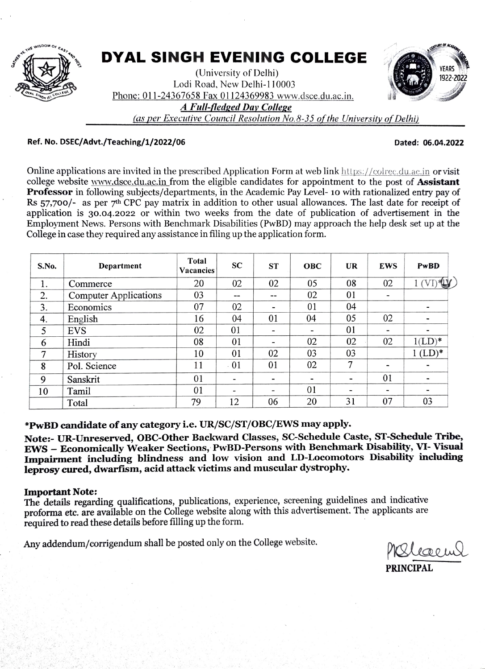

# DYAL SINGH EVENING COLLEGE

(University of Delhi) Lodi Road, New Delhi-110003 Phone: 011-24367658 Fax 01124369983 www.dsce.du.ac.in. 4 Full-fledged Day College



as per Executive Council Resolution No.8-35 of the University of Delhi)

#### Ref. No. DSEC/Advt./Teaching/1/2022/06 Dated: 06.04.2022

Online applications are invited in the prescribed Application Form at web link https://colrec.du.ac.in or visit college website www.dsce.du.ac.in from the eligible candidates for appointment to the post of **Assistant** Professor in following subjects/departments, in the Academic Pay Level- 10 with rationalized entry pay of Rs 57,700/- as per 7<sup>th</sup> CPC pay matrix in addition to other usual allowances. The last date for receipt of application is 30.04.2022 or within two weeks from the date of publication of advertisement in the Employment News. Persons with Benchmark Disabilities (PwBD) may approach the help desk set up at the College in case they required any assistance in filing up the application form.

| S.No. | Department                   | <b>Total</b><br><b>Vacancies</b> | <b>SC</b> | <b>ST</b>                | <b>OBC</b>                   | <b>UR</b>      | <b>EWS</b>               | PwBD                     |
|-------|------------------------------|----------------------------------|-----------|--------------------------|------------------------------|----------------|--------------------------|--------------------------|
| 1.    | Commerce                     | 20                               | 02        | 02                       | 05                           | 08             | 02                       | $1$ (VI) $\mathbf{W}$    |
| 2.    | <b>Computer Applications</b> | 03                               | --        | --                       | 02                           | 01             | $\overline{\phantom{a}}$ |                          |
| 3.    | Economics                    | 07                               | 02        | ۰                        | 01                           | 04             |                          | -                        |
| 4.    | English                      | 16                               | 04        | 01                       | 04                           | 05             | 02                       | $\overline{\phantom{0}}$ |
| 5     | <b>EVS</b>                   | 02                               | 01        | $\overline{\phantom{a}}$ | -                            | 01             | $\overline{\phantom{0}}$ | $\overline{\phantom{0}}$ |
| 6     | Hindi                        | 08                               | 01        | ٠                        | 02                           | 02             | 02                       | $1(LD)^*$                |
| 7     | History                      | 10                               | 01        | 02                       | 03                           | 03             |                          | $1$ (LD) <sup>*</sup>    |
| 8     | Pol. Science                 | 11                               | .01       | 01                       | 02                           | $\overline{7}$ | $\overline{\phantom{a}}$ |                          |
| 9     | Sanskrit                     | 01                               |           | $\blacksquare$           | $\qquad \qquad \blacksquare$ | -              | 01                       | $\overline{\phantom{a}}$ |
| 10    | Tamil                        | 01                               |           | $\overline{\phantom{a}}$ | 01                           |                | $\overline{\phantom{a}}$ | -                        |
|       | Total<br>$\sim$              | 79                               | 12        | 06                       | 20                           | 31             | 07                       | 03                       |

PWBD candidate of any category i.e. UR/SC/ST/OBC/EWS may apply.

Note:- UR-Unreserved, OBC-Other Backward Classes, SC-Schedule Caste, ST-Schedule Tribe EWS Economically Weaker Seetions, PwBD-Persons with Benchmark Disability, VI- Visual Impairment including blindness and low vision and LD-Locomotors Disability inchuding leprosy cured, dwarfism, acid attack victims and muscular dystrophy.

#### Important Note:

The details regarding qualifications, publications, experience, screening guidelines and indicative proforma ete. are available on the College website along with this advertisement. The applicants are required to read these details before filling up the form.

Any addendum/corrigendum shall be posted only on the College website.

**PRINCIPAL**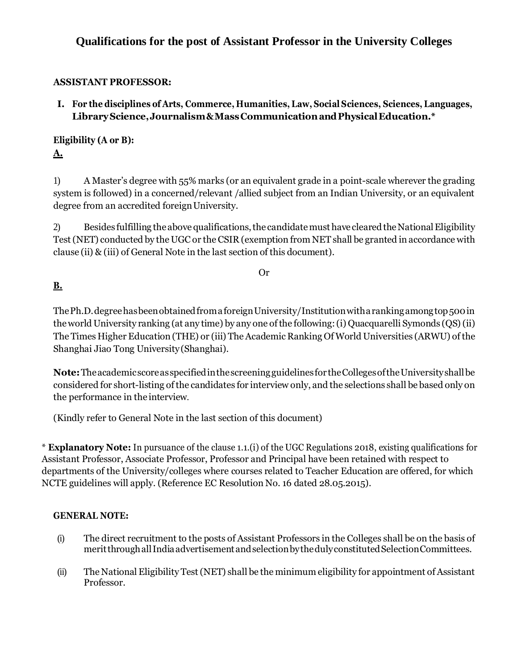# **Qualifications for the post of Assistant Professor in the University Colleges**

# **ASSISTANT PROFESSOR:**

**I. For the disciplines of Arts, Commerce, Humanities, Law, Social Sciences, Sciences, Languages,**  Library Science, Journalism & Mass Communication and Physical Education.<sup>\*</sup>

**Eligibility (A or B): A.**

1) A Master's degree with 55% marks (or an equivalent grade in a point-scale wherever the grading system is followed) in a concerned/relevant /allied subject from an Indian University, or an equivalent degree from an accredited foreign University.

2) Besides fulfilling the above qualifications, the candidate must have cleared the National Eligibility Test(NET) conducted by the UGC or the CSIR (exemption from NET shall be granted in accordance with clause (ii) & (iii) of General Note in the last section of this document).

Or

# **B.**

The Ph.D. degree has been obtained from a foreign University/Institution with a ranking among top 500 in theworld University ranking (at any time) by any one ofthe following:(i) Quacquarelli Symonds (QS)(ii) The Times Higher Education (THE) or (iii) The Academic Ranking Of World Universities (ARWU) of the Shanghai Jiao Tong University(Shanghai).

**Note:**Theacademicscoreasspecifiedinthescreeningguidelinesfor theCollegesoftheUniversityshallbe considered for short-listing ofthe candidates for interview only, and the selections shall be based only on the performance in the interview*.*

(Kindly refer to General Note in the last section of this document)

\* **Explanatory Note:** In pursuance of the clause 1.1.(i) of the UGC Regulations 2018, existing qualifications for Assistant Professor, Associate Professor, Professor and Principal have been retained with respect to departments of the University/colleges where courses related to Teacher Education are offered, for which NCTE guidelines will apply. (Reference EC Resolution No. 16 dated 28.05.2015).

# **GENERAL NOTE:**

- (i) The direct recruitment to the posts of Assistant Professors in the Colleges shall be on the basis of meritthroughallIndiaadvertisementandselectionbythedulyconstitutedSelectionCommittees.
- (ii) The National Eligibility Test(NET) shall be the minimum eligibility for appointment ofAssistant Professor.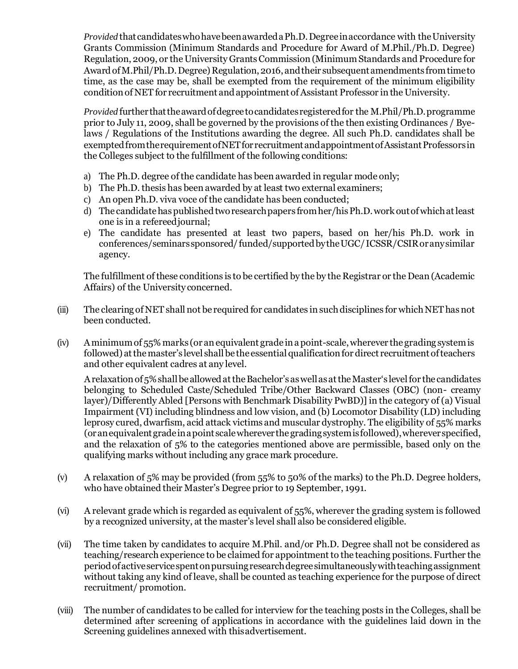*Provided* thatcandidateswhohavebeenawardedaPh.D.Degreeinaccordance with theUniversity Grants Commission (Minimum Standards and Procedure for Award of M.Phil./Ph.D. Degree) Regulation, 2009, or the University GrantsCommission (Minimum Standards and Procedure for AwardofM.Phil/Ph.D.Degree) Regulation,2016,andtheir subsequentamendments fromtimeto time, as the case may be, shall be exempted from the requirement of the minimum eligibility condition of NET for recruitment and appointment of Assistant Professor in the University.

*Provided* further thattheawardofdegreetocandidatesregisteredfor the M.Phil/Ph.D.programme prior to July 11, 2009, shall be governed by the provisions of the then existing Ordinances / Byelaws / Regulations of the Institutions awarding the degree. All such Ph.D. candidates shall be exempted from the requirement of NET for recruitment and appointment of Assistant Professors in the Colleges subject to the fulfillment of the following conditions:

- a) The Ph.D. degree of the candidate has been awarded in regular mode only;
- b) The Ph.D. thesis has been awarded by at least two external examiners;
- c) An open Ph.D. viva voce of the candidate has been conducted;
- d) The candidate has published two research papers from her/his Ph.D. work out of which at least one is in a refereedjournal;
- e) The candidate has presented at least two papers, based on her/his Ph.D. work in conferences/seminarssponsored/ funded/supportedbytheUGC/ICSSR/CSIRoranysimilar agency.

The fulfillment ofthese conditions is to be certified by the by the Registrar or the Dean (Academic Affairs) of the University concerned.

- $(iii)$  The clearing of NET shall not be required for candidates in such disciplines for which NET has not been conducted.
- $(iv)$  Aminimum of 55% marks (or an equivalent grade in a point-scale, wherever the grading system is followed) at the master's level shall be the essential qualification for direct recruitment of teachers and other equivalent cadres at any level.

A relaxation of 5% shall be allowed at the Bachelor's as well as at the Master's level for the candidates belonging to Scheduled Caste/Scheduled Tribe/Other Backward Classes (OBC) (non- creamy layer)/Differently Abled [Persons with Benchmark Disability PwBD)] in the category of (a) Visual Impairment (VI) including blindness and low vision, and (b) Locomotor Disability (LD) including leprosy cured, dwarfism, acid attack victims and muscular dystrophy. The eligibility of 55% marks (oranequivalentgradeinapoint scalewherever the gradingsystemisfollowed),wherever specified, and the relaxation of 5% to the categories mentioned above are permissible, based only on the qualifying marks without including any grace mark procedure.

- (v) A relaxation of 5% may be provided (from 55% to 50% of the marks) to the Ph.D. Degree holders, who have obtained their Master's Degree prior to 19 September, 1991.
- (vi) A relevant grade which is regarded as equivalent of 55%, wherever the grading system is followed by a recognized university, at the master's level shall also be considered eligible.
- (vii) The time taken by candidates to acquire M.Phil. and/or Ph.D. Degree shall not be considered as teaching/research experience to be claimed for appointment to the teaching positions. Further the periodofactiveservicespentonpursuingresearchdegreesimultaneouslywithteachingassignment without taking any kind of leave, shall be counted as teaching experience for the purpose of direct recruitment/ promotion.
- (viii) The number of candidates to be called for interview for the teaching posts in the Colleges, shall be determined after screening of applications in accordance with the guidelines laid down in the Screening guidelines annexed with thisadvertisement.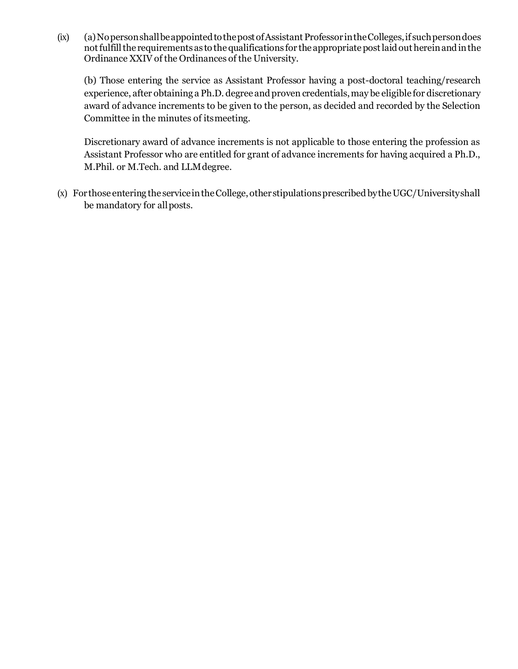$(ix)$  (a) No person shall be appointed to the post of Assistant Professor in the Colleges, if such person does not fulfill the requirements as to the qualifications for the appropriate post laid out herein and in the Ordinance XXIV of the Ordinances of the University.

(b) Those entering the service as Assistant Professor having a post-doctoral teaching/research experience, after obtaining a Ph.D. degree and proven credentials, may be eligible for discretionary award of advance increments to be given to the person, as decided and recorded by the Selection Committee in the minutes of itsmeeting.

Discretionary award of advance increments is not applicable to those entering the profession as Assistant Professor who are entitled for grant of advance increments for having acquired a Ph.D., M.Phil. or M.Tech. and LLMdegree.

 $(x)$  For those entering the service in the College, other stipulations prescribed by the UGC/University shall be mandatory for allposts.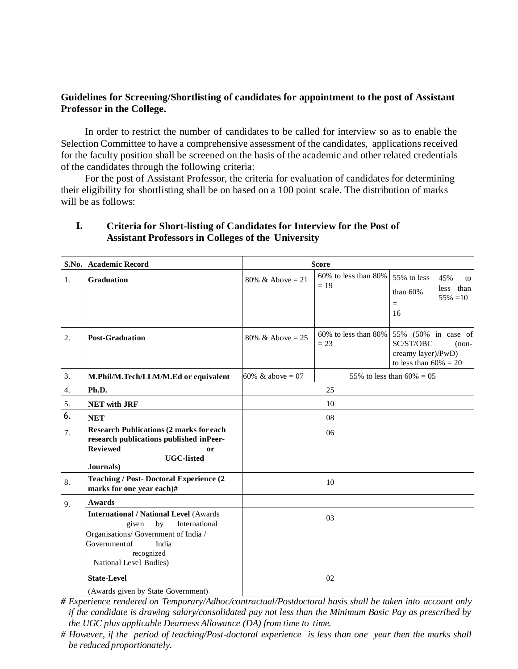### **Guidelines for Screening/Shortlisting of candidates for appointment to the post of Assistant Professor in the College.**

In order to restrict the number of candidates to be called for interview so as to enable the Selection Committee to have a comprehensive assessment of the candidates, applications received for the faculty position shall be screened on the basis of the academic and other related credentials of the candidates through the following criteria:

For the post of Assistant Professor, the criteria for evaluation of candidates for determining their eligibility for shortlisting shall be on based on a 100 point scale. The distribution of marks will be as follows:

### **I. Criteria for Short-listing of Candidates for Interview for the Post of Assistant Professors in Colleges of the University**

| S.No. | <b>Academic Record</b>                                                                                                                                                                 | <b>Score</b>                                     |                                      |                                                                                               |  |
|-------|----------------------------------------------------------------------------------------------------------------------------------------------------------------------------------------|--------------------------------------------------|--------------------------------------|-----------------------------------------------------------------------------------------------|--|
| 1.    | <b>Graduation</b>                                                                                                                                                                      | 80% & Above = 21                                 | $60\%$ to less than $80\%$<br>$= 19$ | 55% to less<br>45%<br>to<br>less than<br>than $60%$<br>$55\% = 10$<br>$=$<br>16               |  |
| 2.    | <b>Post-Graduation</b>                                                                                                                                                                 | 80% & Above = 25                                 | $60\%$ to less than $80\%$<br>$= 23$ | 55% (50% in case of<br>SC/ST/OBC<br>$(non-$<br>creamy layer)/PwD)<br>to less than $60\% = 20$ |  |
| 3.    | M.Phil/M.Tech/LLM/M.Ed or equivalent                                                                                                                                                   | 60% & above = 07<br>55% to less than $60\% = 05$ |                                      |                                                                                               |  |
| 4.    | Ph.D.                                                                                                                                                                                  | 25                                               |                                      |                                                                                               |  |
| 5.    | <b>NET</b> with JRF                                                                                                                                                                    | 10                                               |                                      |                                                                                               |  |
| 6.    | <b>NET</b>                                                                                                                                                                             | 08                                               |                                      |                                                                                               |  |
| 7.    | <b>Research Publications (2 marks for each</b><br>research publications published inPeer-<br><b>Reviewed</b><br>or<br><b>UGC-listed</b><br>Journals)                                   |                                                  | 06                                   |                                                                                               |  |
| 8.    | <b>Teaching / Post- Doctoral Experience (2)</b><br>marks for one year each)#                                                                                                           | 10                                               |                                      |                                                                                               |  |
| 9.    | <b>Awards</b>                                                                                                                                                                          |                                                  |                                      |                                                                                               |  |
|       | <b>International / National Level (Awards</b><br>International<br>given<br>by<br>Organisations/ Government of India /<br>Governmentof<br>India<br>recognized<br>National Level Bodies) |                                                  | 03                                   |                                                                                               |  |
|       | <b>State-Level</b>                                                                                                                                                                     |                                                  | 02                                   |                                                                                               |  |
|       | (Awards given by State Government)                                                                                                                                                     |                                                  |                                      |                                                                                               |  |

*# Experience rendered on Temporary/Adhoc/contractual/Postdoctoral basis shall be taken into account only if the candidate is drawing salary/consolidated pay not less than the Minimum Basic Pay as prescribed by the UGC plus applicable Dearness Allowance (DA) from time to time.*

*<sup>#</sup> However, if the period of teaching/Post-doctoral experience is less than one year then the marks shall be reduced proportionately.*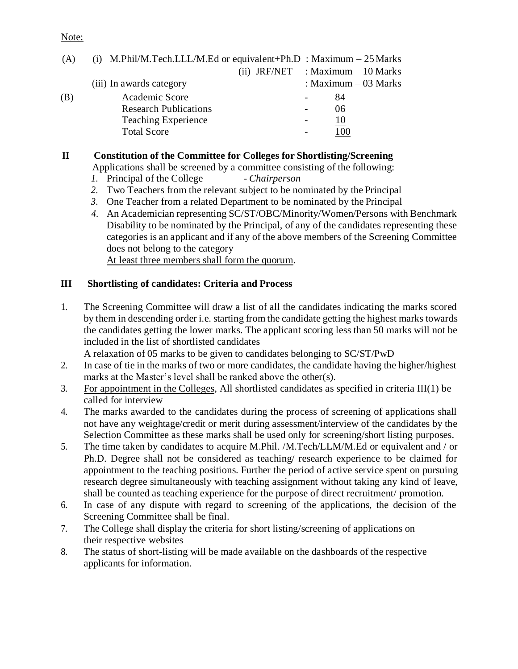#### Note:

| (ii) JRF/NET : Maximum $-10$ Marks<br>: Maximum $-03$ Marks<br>(iii) In awards category<br>Academic Score<br>(B)<br>84<br><b>Research Publications</b><br>06<br><b>Teaching Experience</b><br>10<br><b>Total Score</b> | (A) | (i) M.Phil/M.Tech.LLL/M.Ed or equivalent+Ph.D : Maximum $-25$ Marks |  |  |
|------------------------------------------------------------------------------------------------------------------------------------------------------------------------------------------------------------------------|-----|---------------------------------------------------------------------|--|--|
|                                                                                                                                                                                                                        |     |                                                                     |  |  |
|                                                                                                                                                                                                                        |     |                                                                     |  |  |
|                                                                                                                                                                                                                        |     |                                                                     |  |  |
|                                                                                                                                                                                                                        |     |                                                                     |  |  |
|                                                                                                                                                                                                                        |     |                                                                     |  |  |
|                                                                                                                                                                                                                        |     |                                                                     |  |  |

# **II Constitution of the Committee for Colleges for Shortlisting/Screening**

Applications shall be screened by a committee consisting of the following:

- *1.* Principal of the College *Chairperson*
- *2.* Two Teachers from the relevant subject to be nominated by the Principal
- *3.* One Teacher from a related Department to be nominated by the Principal
- *4.* An Academician representing SC/ST/OBC/Minority/Women/Persons with Benchmark Disability to be nominated by the Principal, of any of the candidates representing these categories is an applicant and if any of the above members of the Screening Committee does not belong to the category

At least three members shall form the quorum.

# **III Shortlisting of candidates: Criteria and Process**

1. The Screening Committee will draw a list of all the candidates indicating the marks scored by them in descending order i.e. starting from the candidate getting the highest marks towards the candidates getting the lower marks. The applicant scoring less than 50 marks will not be included in the list of shortlisted candidates

A relaxation of 05 marks to be given to candidates belonging to SC/ST/PwD

- 2. In case of tie in the marks of two or more candidates, the candidate having the higher/highest marks at the Master's level shall be ranked above the other(s).
- 3. For appointment in the Colleges, All shortlisted candidates as specified in criteria III(1) be called for interview
- 4. The marks awarded to the candidates during the process of screening of applications shall not have any weightage/credit or merit during assessment/interview of the candidates by the Selection Committee as these marks shall be used only for screening/short listing purposes.
- 5. The time taken by candidates to acquire M.Phil. /M.Tech/LLM/M.Ed or equivalent and / or Ph.D. Degree shall not be considered as teaching/ research experience to be claimed for appointment to the teaching positions. Further the period of active service spent on pursuing research degree simultaneously with teaching assignment without taking any kind of leave, shall be counted as teaching experience for the purpose of direct recruitment/ promotion.
- 6. In case of any dispute with regard to screening of the applications, the decision of the Screening Committee shall be final.
- 7. The College shall display the criteria for short listing/screening of applications on their respective websites
- 8. The status of short-listing will be made available on the dashboards of the respective applicants for information.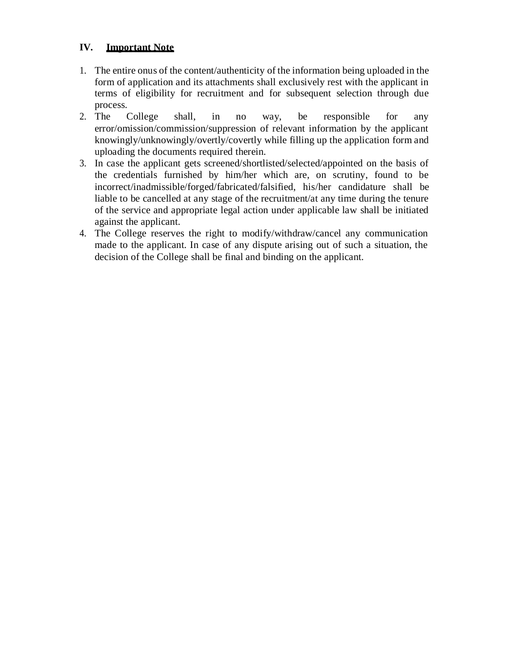# **IV. Important Note**

- 1. The entire onus of the content/authenticity of the information being uploaded in the form of application and its attachments shall exclusively rest with the applicant in terms of eligibility for recruitment and for subsequent selection through due process.
- 2. The College shall, in no way, be responsible for any error/omission/commission/suppression of relevant information by the applicant knowingly/unknowingly/overtly/covertly while filling up the application form and uploading the documents required therein.
- 3. In case the applicant gets screened/shortlisted/selected/appointed on the basis of the credentials furnished by him/her which are, on scrutiny, found to be incorrect/inadmissible/forged/fabricated/falsified, his/her candidature shall be liable to be cancelled at any stage of the recruitment/at any time during the tenure of the service and appropriate legal action under applicable law shall be initiated against the applicant.
- 4. The College reserves the right to modify/withdraw/cancel any communication made to the applicant. In case of any dispute arising out of such a situation, the decision of the College shall be final and binding on the applicant.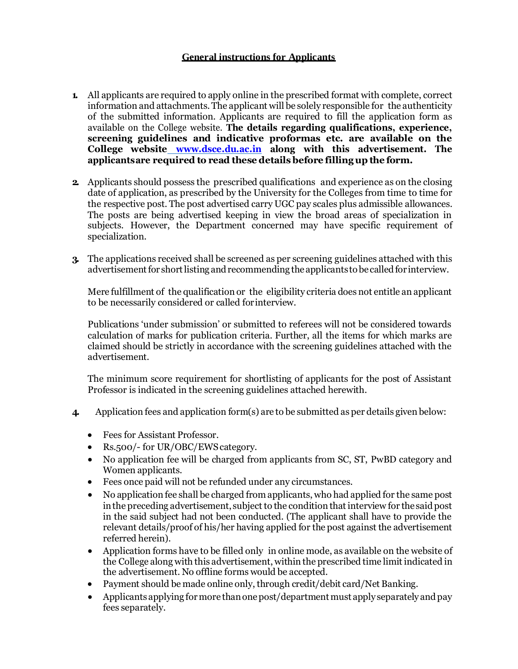### **General instructions for Applicants**

- **1.** All applicants are required to apply online in the prescribed format with complete, correct information and attachments.The applicant will be solely responsible for the authenticity of the submitted information. Applicants are required to fill the application form as available on the College website. **The details regarding qualifications, experience, screening guidelines and indicative proformas etc. are available on the College website www.dsce.du.ac.in along with this advertisement. The applicantsare required to read these details before fillingup the form.**
- **2.** Applicants should possess the prescribed qualifications and experience as on the closing date of application, as prescribed by the University for the Colleges from time to time for the respective post. The post advertised carry UGC pay scales plus admissible allowances. The posts are being advertised keeping in view the broad areas of specialization in subjects. However, the Department concerned may have specific requirement of specialization.
- **3.** The applications received shall be screened as per screening guidelines attached with this advertisement for short listing and recommending the applicants to be called for interview.

Mere fulfillment of the qualification or the eligibility criteria does not entitle an applicant to be necessarily considered or called forinterview.

Publications 'under submission' or submitted to referees will not be considered towards calculation of marks for publication criteria. Further, all the items for which marks are claimed should be strictly in accordance with the screening guidelines attached with the advertisement.

The minimum score requirement for shortlisting of applicants for the post of Assistant Professor is indicated in the screening guidelines attached herewith.

- **4.** Application fees and application form(s) are to be submitted as per details given below:
	- Fees for Assistant Professor.
	- Rs.500/- for UR/OBC/EWScategory.
	- No application fee will be charged from applicants from SC, ST, PwBD category and Women applicants.
	- Fees once paid will not be refunded under any circumstances.
	- No application fee shall be charged from applicants, who had applied for the same post in the preceding advertisement, subject to the condition that interview for the said post in the said subject had not been conducted. (The applicant shall have to provide the relevant details/proof of his/her having applied for the post against the advertisement referred herein).
	- Application forms have to be filled only in online mode, as available on the website of the College along with this advertisement, within the prescribed time limit indicated in the advertisement. No offline forms would be accepted.
	- Payment should be made online only, through credit/debit card/Net Banking.
	- Applicantsapplying formore thanonepost/department must apply separately andpay fees separately.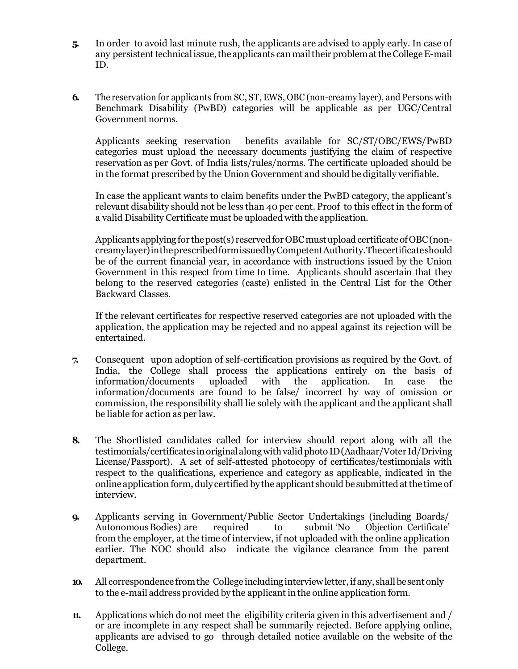- **5.** In order to avoid last minute rush, the applicants are advised to apply early. In case of any persistent technical issue, the applicants can mail their problem at the College E-mail ID.
- **6.** The reservation for applicants from SC, ST, EWS, OBC (non-creamy layer), and Persons with Benchmark Disability (PwBD) categories will be applicable as per UGC/Central Government norms.

Applicants seeking reservation benefits available for SC/ST/OBC/EWS/PwBD categories must upload the necessary documents justifying the claim of respective reservation as per Govt. of India lists/rules/norms. The certificate uploaded should be in the format prescribed by the Union Government and should be digitally verifiable.

In case the applicant wants to claim benefits under the PwBD category, the applicant's relevant disability should not be less than 40 per cent. Proof to this effect in the form of a valid Disability Certificate must be uploaded with the application.

Applicants applying for the post(s) reserved for OBC must upload certificate of OBC (noncreamylayer)intheprescribedformissuedbyCompetentAuthority.Thecertificateshould be of the current financial year, in accordance with instructions issued by the Union Government in this respect from time to time. Applicants should ascertain that they belong to the reserved categories (caste) enlisted in the Central List for the Other Backward Classes.

If the relevant certificates for respective reserved categories are not uploaded with the application, the application may be rejected and no appeal against its rejection will be entertained.

- **7.** Consequent upon adoption of self-certification provisions as required by the Govt. of India, the College shall process the applications entirely on the basis of information/documents uploaded with the application. In case the information/documents are found to be false/ incorrect by way of omission or commission, the responsibility shall lie solely with the applicant and the applicant shall be liable for action as per law.
- **8.** The Shortlisted candidates called for interview should report along with all the testimonials/certificates inoriginalalongwithvalidphoto ID(Aadhaar/Voter Id/Driving License/Passport). A set of self-attested photocopy of certificates/testimonials with respect to the qualifications, experience and category as applicable, indicated in the online application form, duly certified bythe applicant should be submittedatthe time of interview.
- **9.** Applicants serving in Government/Public Sector Undertakings (including Boards/ AutonomousBodies) are required to submit 'No Objection Certificate' from the employer, at the time of interview, if not uploaded with the online application earlier. The NOC should also indicate the vigilance clearance from the parent department.
- **10.** All correspondence from the College including interview letter, if any, shall be sent only to the e-mail address provided by the applicant in the online application form.
- **11.** Applications which do not meet the eligibility criteria given in this advertisement and / or are incomplete in any respect shall be summarily rejected. Before applying online, applicants are advised to go through detailed notice available on the website of the College.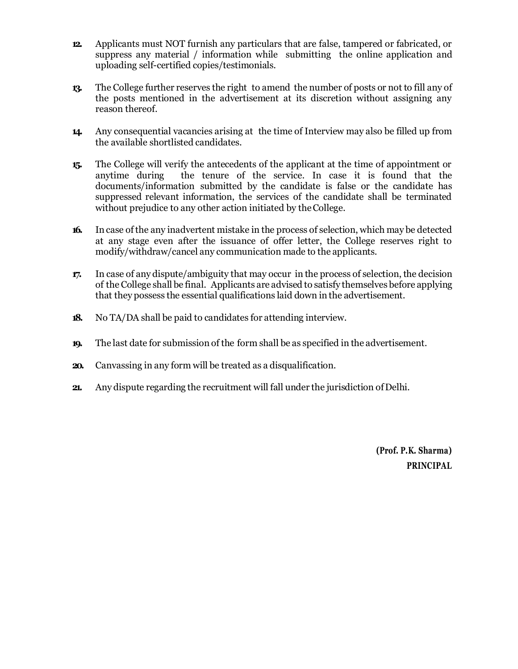- **12.** Applicants must NOT furnish any particulars that are false, tampered or fabricated, or suppress any material / information while submitting the online application and uploading self-certified copies/testimonials.
- **13.** The College further reserves the right to amend the number of posts or not to fill any of the posts mentioned in the advertisement at its discretion without assigning any reason thereof.
- **14.** Any consequential vacancies arising at the time of Interview may also be filled up from the available shortlisted candidates.
- **15.** The College will verify the antecedents of the applicant at the time of appointment or anytime during the tenure of the service. In case it is found that the documents/information submitted by the candidate is false or the candidate has suppressed relevant information, the services of the candidate shall be terminated without prejudice to any other action initiated by the College.
- **16.** In case ofthe any inadvertent mistake in the process of selection, which may be detected at any stage even after the issuance of offer letter, the College reserves right to modify/withdraw/cancel any communication made to the applicants.
- **17.** In case of any dispute/ambiguity that may occur in the process of selection, the decision of the College shall be final. Applicants are advised to satisfy themselves before applying that they possess the essential qualifications laid down in the advertisement.
- **18.** No TA/DA shall be paid to candidates for attending interview.
- **19.** The last date for submission of the form shall be as specified in the advertisement.
- **20.** Canvassing in any form will be treated as a disqualification.
- **21.** Any dispute regarding the recruitment will fall under the jurisdiction ofDelhi.

**(Prof. P.K. Sharma) PRINCIPAL**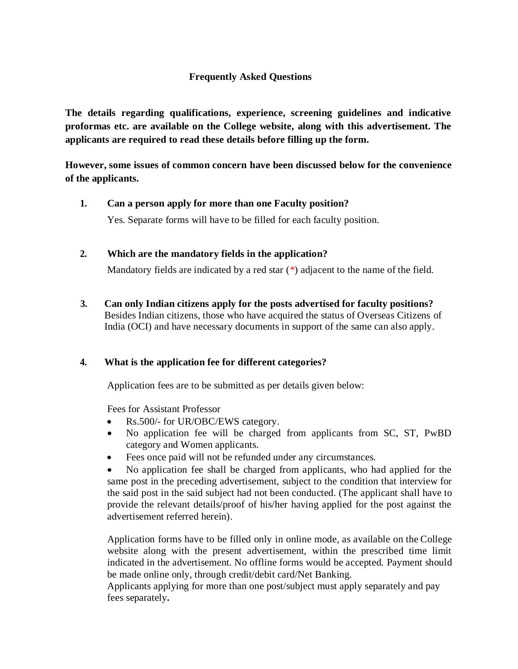# **Frequently Asked Questions**

**The details regarding qualifications, experience, screening guidelines and indicative proformas etc. are available on the College website, along with this advertisement. The applicants are required to read these details before filling up the form.**

**However, some issues of common concern have been discussed below for the convenience of the applicants.**

### **1. Can a person apply for more than one Faculty position?**

Yes. Separate forms will have to be filled for each faculty position.

# **2. Which are the mandatory fields in the application?**

Mandatory fields are indicated by a red star (\*) adjacent to the name of the field.

**3. Can only Indian citizens apply for the posts advertised for faculty positions?**  Besides Indian citizens, those who have acquired the status of Overseas Citizens of India (OCI) and have necessary documents in support of the same can also apply.

# **4. What is the application fee for different categories?**

Application fees are to be submitted as per details given below:

Fees for Assistant Professor

- Rs.500/- for UR/OBC/EWS category.
- No application fee will be charged from applicants from SC, ST, PwBD category and Women applicants.
- Fees once paid will not be refunded under any circumstances.

 No application fee shall be charged from applicants, who had applied for the same post in the preceding advertisement, subject to the condition that interview for the said post in the said subject had not been conducted. (The applicant shall have to provide the relevant details/proof of his/her having applied for the post against the advertisement referred herein).

Application forms have to be filled only in online mode, as available on the College website along with the present advertisement, within the prescribed time limit indicated in the advertisement. No offline forms would be accepted. Payment should be made online only, through credit/debit card/Net Banking.

Applicants applying for more than one post/subject must apply separately and pay fees separately**.**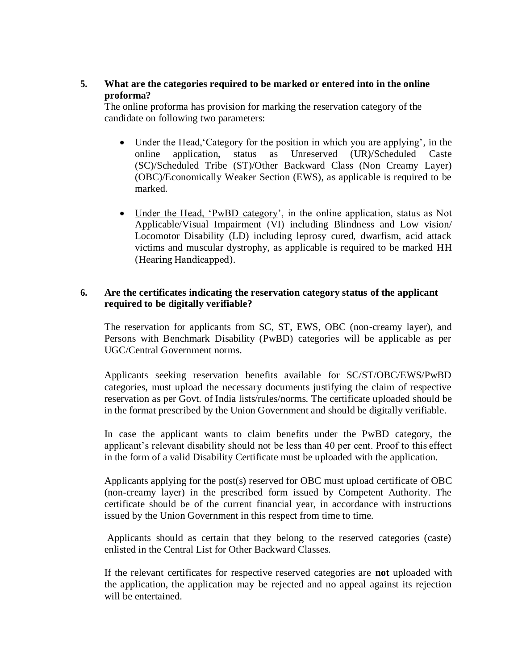**5. What are the categories required to be marked or entered into in the online proforma?**

The online proforma has provision for marking the reservation category of the candidate on following two parameters:

- Under the Head, Category for the position in which you are applying', in the online application, status as Unreserved (UR)/Scheduled Caste (SC)/Scheduled Tribe (ST)/Other Backward Class (Non Creamy Layer) (OBC)/Economically Weaker Section (EWS), as applicable is required to be marked.
- Under the Head, 'PwBD category', in the online application, status as Not Applicable/Visual Impairment (VI) including Blindness and Low vision/ Locomotor Disability (LD) including leprosy cured, dwarfism, acid attack victims and muscular dystrophy, as applicable is required to be marked HH (Hearing Handicapped).

### **6. Are the certificates indicating the reservation category status of the applicant required to be digitally verifiable?**

The reservation for applicants from SC, ST, EWS, OBC (non-creamy layer), and Persons with Benchmark Disability (PwBD) categories will be applicable as per UGC/Central Government norms.

Applicants seeking reservation benefits available for SC/ST/OBC/EWS/PwBD categories, must upload the necessary documents justifying the claim of respective reservation as per Govt. of India lists/rules/norms. The certificate uploaded should be in the format prescribed by the Union Government and should be digitally verifiable.

In case the applicant wants to claim benefits under the PwBD category, the applicant's relevant disability should not be less than 40 per cent. Proof to this effect in the form of a valid Disability Certificate must be uploaded with the application.

Applicants applying for the post(s) reserved for OBC must upload certificate of OBC (non-creamy layer) in the prescribed form issued by Competent Authority. The certificate should be of the current financial year, in accordance with instructions issued by the Union Government in this respect from time to time.

Applicants should as certain that they belong to the reserved categories (caste) enlisted in the Central List for Other Backward Classes.

If the relevant certificates for respective reserved categories are **not** uploaded with the application, the application may be rejected and no appeal against its rejection will be entertained.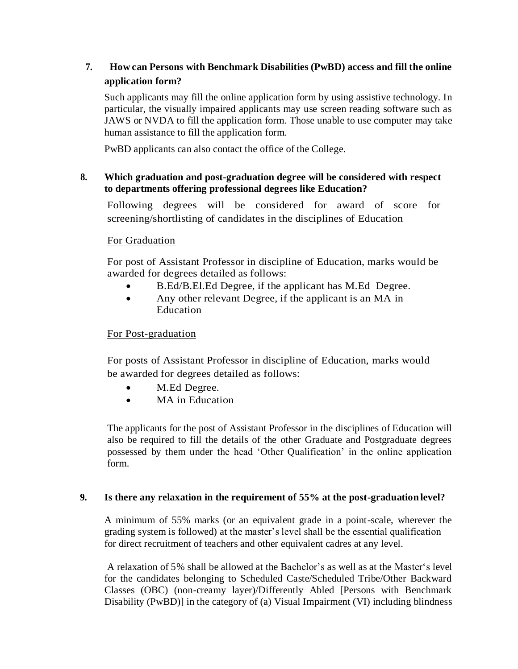# **7. How can Persons with Benchmark Disabilities (PwBD) access and fill the online application form?**

Such applicants may fill the online application form by using assistive technology. In particular, the visually impaired applicants may use screen reading software such as JAWS or NVDA to fill the application form. Those unable to use computer may take human assistance to fill the application form.

PwBD applicants can also contact the office of the College.

# **8. Which graduation and post-graduation degree will be considered with respect to departments offering professional degrees like Education?**

Following degrees will be considered for award of score for screening/shortlisting of candidates in the disciplines of Education

# For Graduation

For post of Assistant Professor in discipline of Education, marks would be awarded for degrees detailed as follows:

- B.Ed/B.El.Ed Degree, if the applicant has M.Ed Degree.
- Any other relevant Degree, if the applicant is an MA in Education

# For Post-graduation

For posts of Assistant Professor in discipline of Education, marks would be awarded for degrees detailed as follows:

- M.Ed Degree.
- MA in Education

The applicants for the post of Assistant Professor in the disciplines of Education will also be required to fill the details of the other Graduate and Postgraduate degrees possessed by them under the head 'Other Qualification' in the online application form.

# **9. Is there any relaxation in the requirement of 55% at the post-graduation level?**

A minimum of 55% marks (or an equivalent grade in a point-scale, wherever the grading system is followed) at the master's level shall be the essential qualification for direct recruitment of teachers and other equivalent cadres at any level.

A relaxation of 5% shall be allowed at the Bachelor's as well as at the Master's level for the candidates belonging to Scheduled Caste/Scheduled Tribe/Other Backward Classes (OBC) (non-creamy layer)/Differently Abled [Persons with Benchmark Disability (PwBD)] in the category of (a) Visual Impairment (VI) including blindness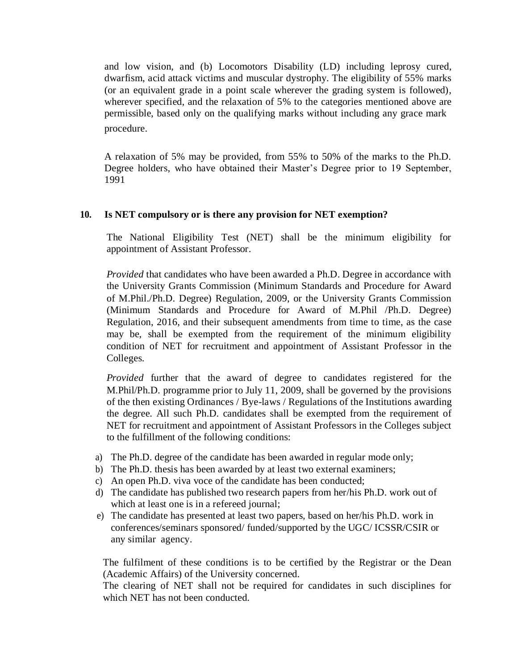and low vision, and (b) Locomotors Disability (LD) including leprosy cured, dwarfism, acid attack victims and muscular dystrophy. The eligibility of 55% marks (or an equivalent grade in a point scale wherever the grading system is followed), wherever specified, and the relaxation of 5% to the categories mentioned above are permissible, based only on the qualifying marks without including any grace mark procedure.

A relaxation of 5% may be provided, from 55% to 50% of the marks to the Ph.D. Degree holders, who have obtained their Master's Degree prior to 19 September, 1991

### **10. Is NET compulsory or is there any provision for NET exemption?**

The National Eligibility Test (NET) shall be the minimum eligibility for appointment of Assistant Professor.

*Provided* that candidates who have been awarded a Ph.D. Degree in accordance with the University Grants Commission (Minimum Standards and Procedure for Award of M.Phil./Ph.D. Degree) Regulation, 2009, or the University Grants Commission (Minimum Standards and Procedure for Award of M.Phil /Ph.D. Degree) Regulation, 2016, and their subsequent amendments from time to time, as the case may be, shall be exempted from the requirement of the minimum eligibility condition of NET for recruitment and appointment of Assistant Professor in the Colleges.

*Provided* further that the award of degree to candidates registered for the M.Phil/Ph.D. programme prior to July 11, 2009, shall be governed by the provisions of the then existing Ordinances / Bye-laws / Regulations of the Institutions awarding the degree. All such Ph.D. candidates shall be exempted from the requirement of NET for recruitment and appointment of Assistant Professors in the Colleges subject to the fulfillment of the following conditions:

- a) The Ph.D. degree of the candidate has been awarded in regular mode only;
- b) The Ph.D. thesis has been awarded by at least two external examiners;
- c) An open Ph.D. viva voce of the candidate has been conducted;
- d) The candidate has published two research papers from her/his Ph.D. work out of which at least one is in a refereed journal;
- e) The candidate has presented at least two papers, based on her/his Ph.D. work in conferences/seminars sponsored/ funded/supported by the UGC/ ICSSR/CSIR or any similar agency.

The fulfilment of these conditions is to be certified by the Registrar or the Dean (Academic Affairs) of the University concerned.

The clearing of NET shall not be required for candidates in such disciplines for which NET has not been conducted.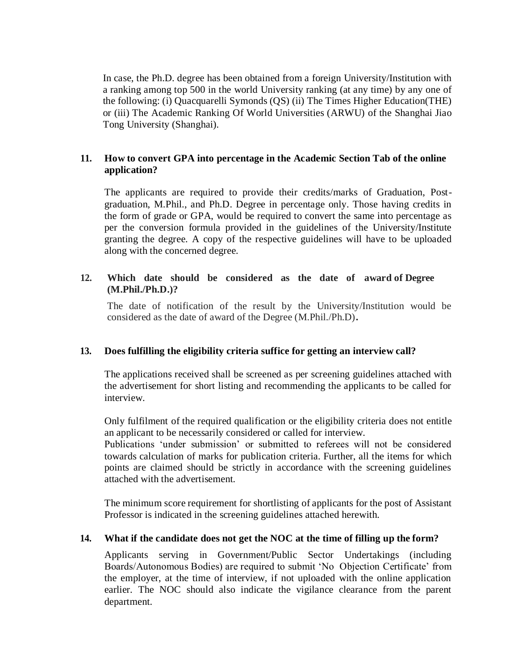In case, the Ph.D. degree has been obtained from a foreign University/Institution with a ranking among top 500 in the world University ranking (at any time) by any one of the following: (i) Quacquarelli Symonds (QS) (ii) The Times Higher Education(THE) or (iii) The Academic Ranking Of World Universities (ARWU) of the Shanghai Jiao Tong University (Shanghai).

### **11. How to convert GPA into percentage in the Academic Section Tab of the online application?**

The applicants are required to provide their credits/marks of Graduation, Postgraduation, M.Phil., and Ph.D. Degree in percentage only. Those having credits in the form of grade or GPA, would be required to convert the same into percentage as per the conversion formula provided in the guidelines of the University/Institute granting the degree. A copy of the respective guidelines will have to be uploaded along with the concerned degree.

### **12. Which date should be considered as the date of award of Degree (M.Phil./Ph.D.)?**

The date of notification of the result by the University/Institution would be considered as the date of award of the Degree (M.Phil./Ph.D)**.**

### **13. Does fulfilling the eligibility criteria suffice for getting an interview call?**

The applications received shall be screened as per screening guidelines attached with the advertisement for short listing and recommending the applicants to be called for interview.

Only fulfilment of the required qualification or the eligibility criteria does not entitle an applicant to be necessarily considered or called for interview.

Publications 'under submission' or submitted to referees will not be considered towards calculation of marks for publication criteria. Further, all the items for which points are claimed should be strictly in accordance with the screening guidelines attached with the advertisement.

The minimum score requirement for shortlisting of applicants for the post of Assistant Professor is indicated in the screening guidelines attached herewith.

### **14. What if the candidate does not get the NOC at the time of filling up the form?**

Applicants serving in Government/Public Sector Undertakings (including Boards/Autonomous Bodies) are required to submit 'No Objection Certificate' from the employer, at the time of interview, if not uploaded with the online application earlier. The NOC should also indicate the vigilance clearance from the parent department.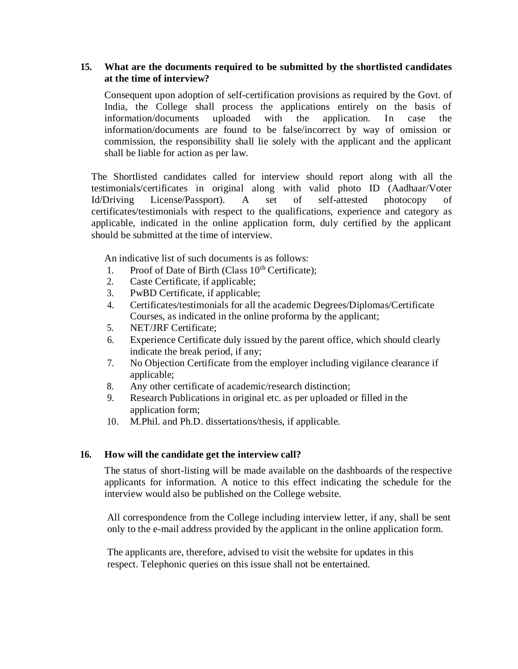### **15. What are the documents required to be submitted by the shortlisted candidates at the time of interview?**

Consequent upon adoption of self-certification provisions as required by the Govt. of India, the College shall process the applications entirely on the basis of information/documents uploaded with the application. In case the information/documents are found to be false/incorrect by way of omission or commission, the responsibility shall lie solely with the applicant and the applicant shall be liable for action as per law.

The Shortlisted candidates called for interview should report along with all the testimonials/certificates in original along with valid photo ID (Aadhaar/Voter Id/Driving License/Passport). A set of self-attested photocopy of certificates/testimonials with respect to the qualifications, experience and category as applicable, indicated in the online application form, duly certified by the applicant should be submitted at the time of interview.

An indicative list of such documents is as follows:

- 1. Proof of Date of Birth (Class  $10<sup>th</sup>$  Certificate);
- 2. Caste Certificate, if applicable;
- 3. PwBD Certificate, if applicable;
- 4. Certificates/testimonials for all the academic Degrees/Diplomas/Certificate Courses, as indicated in the online proforma by the applicant;
- 5. NET/JRF Certificate;
- 6. Experience Certificate duly issued by the parent office, which should clearly indicate the break period, if any;
- 7. No Objection Certificate from the employer including vigilance clearance if applicable;
- 8. Any other certificate of academic/research distinction;
- 9. Research Publications in original etc. as per uploaded or filled in the application form;
- 10. M.Phil. and Ph.D. dissertations/thesis, if applicable.

### **16. How will the candidate get the interview call?**

The status of short-listing will be made available on the dashboards of the respective applicants for information. A notice to this effect indicating the schedule for the interview would also be published on the College website.

All correspondence from the College including interview letter, if any, shall be sent only to the e-mail address provided by the applicant in the online application form.

The applicants are, therefore, advised to visit the website for updates in this respect. Telephonic queries on this issue shall not be entertained.